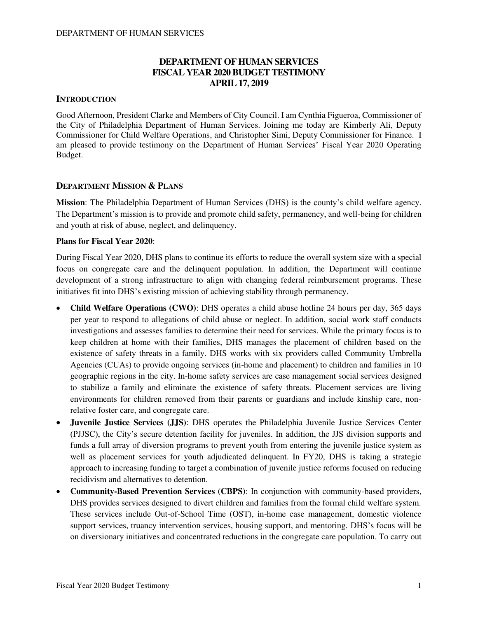## **DEPARTMENT OF HUMAN SERVICES FISCAL YEAR 2020 BUDGET TESTIMONY APRIL 17, 2019**

## **INTRODUCTION**

Good Afternoon, President Clarke and Members of City Council. I am Cynthia Figueroa, Commissioner of the City of Philadelphia Department of Human Services. Joining me today are Kimberly Ali, Deputy Commissioner for Child Welfare Operations, and Christopher Simi, Deputy Commissioner for Finance. I am pleased to provide testimony on the Department of Human Services' Fiscal Year 2020 Operating Budget.

## **DEPARTMENT MISSION & PLANS**

**Mission**: The Philadelphia Department of Human Services (DHS) is the county's child welfare agency. The Department's mission is to provide and promote child safety, permanency, and well-being for children and youth at risk of abuse, neglect, and delinquency.

#### **Plans for Fiscal Year 2020**:

During Fiscal Year 2020, DHS plans to continue its efforts to reduce the overall system size with a special focus on congregate care and the delinquent population. In addition, the Department will continue development of a strong infrastructure to align with changing federal reimbursement programs. These initiatives fit into DHS's existing mission of achieving stability through permanency.

- **Child Welfare Operations (CWO)**: DHS operates a child abuse hotline 24 hours per day, 365 days per year to respond to allegations of child abuse or neglect. In addition, social work staff conducts investigations and assesses families to determine their need for services. While the primary focus is to keep children at home with their families, DHS manages the placement of children based on the existence of safety threats in a family. DHS works with six providers called Community Umbrella Agencies (CUAs) to provide ongoing services (in-home and placement) to children and families in 10 geographic regions in the city. In-home safety services are case management social services designed to stabilize a family and eliminate the existence of safety threats. Placement services are living environments for children removed from their parents or guardians and include kinship care, nonrelative foster care, and congregate care.
- **Juvenile Justice Services (JJS)**: DHS operates the Philadelphia Juvenile Justice Services Center (PJJSC), the City's secure detention facility for juveniles. In addition, the JJS division supports and funds a full array of diversion programs to prevent youth from entering the juvenile justice system as well as placement services for youth adjudicated delinquent. In FY20, DHS is taking a strategic approach to increasing funding to target a combination of juvenile justice reforms focused on reducing recidivism and alternatives to detention.
- **Community-Based Prevention Services (CBPS)**: In conjunction with community-based providers, DHS provides services designed to divert children and families from the formal child welfare system. These services include Out-of-School Time (OST), in-home case management, domestic violence support services, truancy intervention services, housing support, and mentoring. DHS's focus will be on diversionary initiatives and concentrated reductions in the congregate care population. To carry out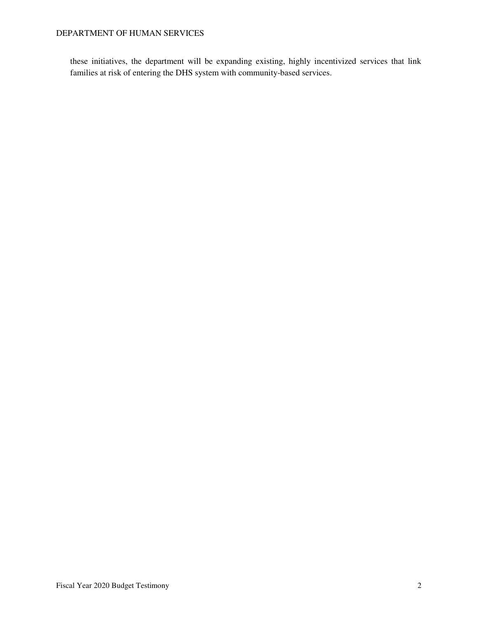these initiatives, the department will be expanding existing, highly incentivized services that link families at risk of entering the DHS system with community-based services.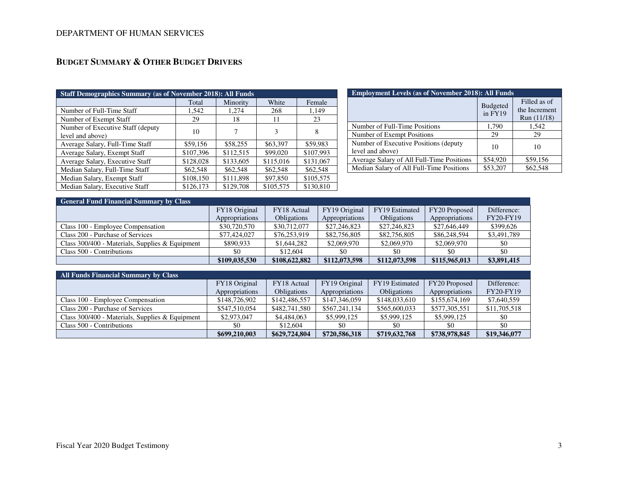# **BUDGET SUMMARY & OTHER BUDGET DRIVERS**

| <b>Staff Demographics Summary (as of November 2018): All Funds</b> |           |           |           |           |  |  |
|--------------------------------------------------------------------|-----------|-----------|-----------|-----------|--|--|
|                                                                    | Total     | Minority  | White     | Female    |  |  |
| Number of Full-Time Staff                                          | 1,542     | 1,274     | 268       | 1,149     |  |  |
| Number of Exempt Staff                                             | 29        | 18        | 11        | 23        |  |  |
| Number of Executive Staff (deputy)<br>level and above)             | 10        | 7         | 3         | 8         |  |  |
| Average Salary, Full-Time Staff                                    | \$59,156  | \$58,255  | \$63,397  | \$59,983  |  |  |
| Average Salary, Exempt Staff                                       | \$107,396 | \$112,515 | \$99,020  | \$107.993 |  |  |
| Average Salary, Executive Staff                                    | \$128,028 | \$133,605 | \$115,016 | \$131,067 |  |  |
| Median Salary, Full-Time Staff                                     | \$62,548  | \$62,548  | \$62,548  | \$62,548  |  |  |
| Median Salary, Exempt Staff                                        | \$108,150 | \$111,898 | \$97,850  | \$105,575 |  |  |
| Median Salary, Executive Staff                                     | \$126,173 | \$129,708 | \$105,575 | \$130,810 |  |  |

| <b>Employment Levels (as of November 2018): All Funds</b>  |                            |                                              |  |  |  |
|------------------------------------------------------------|----------------------------|----------------------------------------------|--|--|--|
|                                                            | <b>Budgeted</b><br>in FY19 | Filled as of<br>the Increment<br>Run (11/18) |  |  |  |
| Number of Full-Time Positions                              | 1,790                      | 1,542                                        |  |  |  |
| Number of Exempt Positions                                 | 29                         | 29                                           |  |  |  |
| Number of Executive Positions (deputy)<br>level and above) | 10                         | 10                                           |  |  |  |
| Average Salary of All Full-Time Positions                  | \$54,920                   | \$59,156                                     |  |  |  |
| Median Salary of All Full-Time Positions                   | \$53,207                   | \$62,548                                     |  |  |  |

| <b>General Fund Financial Summary by Class</b>    |                |               |                |                    |                |                  |
|---------------------------------------------------|----------------|---------------|----------------|--------------------|----------------|------------------|
|                                                   | FY18 Original  | FY18 Actual   | FY19 Original  | FY19 Estimated     | FY20 Proposed  | Difference:      |
|                                                   | Appropriations | Obligations   | Appropriations | <b>Obligations</b> | Appropriations | <b>FY20-FY19</b> |
| Class 100 - Employee Compensation                 | \$30,720,570   | \$30,712,077  | \$27,246,823   | \$27,246,823       | \$27,646,449   | \$399,626        |
| Class 200 - Purchase of Services                  | \$77,424,027   | \$76,253,919  | \$82,756,805   | \$82,756,805       | \$86,248,594   | \$3,491,789      |
| Class $300/400$ - Materials, Supplies & Equipment | \$890.933      | \$1,644,282   | \$2,069,970    | \$2,069,970        | \$2,069,970    | \$0              |
| Class 500 - Contributions                         | \$0            | \$12,604      |                | \$0                | \$0            | -\$0             |
|                                                   | \$109,035,530  | \$108,622,882 | \$112,073,598  | \$112,073,598      | \$115,965,013  | \$3,891,415      |

| All Funds Financial Summary by Class              |                |                    |                       |                    |                |                  |
|---------------------------------------------------|----------------|--------------------|-----------------------|--------------------|----------------|------------------|
|                                                   | FY18 Original  | FY18 Actual        | FY19 Original         | FY19 Estimated     | FY20 Proposed  | Difference:      |
|                                                   | Appropriations | <b>Obligations</b> | <i>Appropriations</i> | <b>Obligations</b> | Appropriations | <b>FY20-FY19</b> |
| Class 100 - Employee Compensation                 | \$148,726,902  | \$142,486,557      | \$147,346,059         | \$148,033,610      | \$155,674,169  | \$7,640,559      |
| Class 200 - Purchase of Services                  | \$547,510,054  | \$482,741,580      | \$567,241,134         | \$565,600,033      | \$577,305,551  | \$11,705,518     |
| Class $300/400$ - Materials, Supplies & Equipment | \$2,973,047    | \$4,484,063        | \$5,999,125           | \$5,999,125        | \$5,999,125    | \$0              |
| Class 500 - Contributions                         | \$0            | \$12,604           | \$0                   | \$0                | \$0            | \$0              |
|                                                   | \$699,210,003  | \$629,724,804      | \$720,586,318         | \$719,632,768      | \$738,978,845  | \$19,346,077     |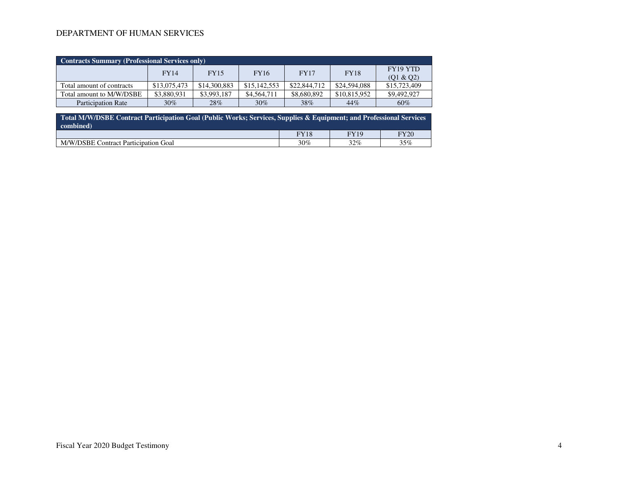| Contracts Summary (Professional Services only) |              |              |              |              |              |                       |  |
|------------------------------------------------|--------------|--------------|--------------|--------------|--------------|-----------------------|--|
|                                                | <b>FY14</b>  | <b>FY15</b>  | <b>FY16</b>  | FY17         | <b>FY18</b>  | FY19 YTD<br>(Q1 & Q2) |  |
| Total amount of contracts                      | \$13,075,473 | \$14,300,883 | \$15,142,553 | \$22,844,712 | \$24,594,088 | \$15,723,409          |  |
| Total amount to M/W/DSBE                       | \$3,880,931  | \$3,993,187  | \$4,564,711  | \$8,680,892  | \$10,815,952 | \$9,492,927           |  |
| <b>Participation Rate</b>                      | 30%          | 28%          | $30\%$       | 38%          | 44%          | 60%                   |  |

| Total M/W/DSBE Contract Participation Goal (Public Works; Services, Supplies & Equipment; and Professional Services<br>combined) |             |             |      |  |  |
|----------------------------------------------------------------------------------------------------------------------------------|-------------|-------------|------|--|--|
|                                                                                                                                  | <b>FY18</b> | <b>FY19</b> | FY20 |  |  |
| M/W/DSBE Contract Participation Goal                                                                                             | 30%         | $32\%$      | 35%  |  |  |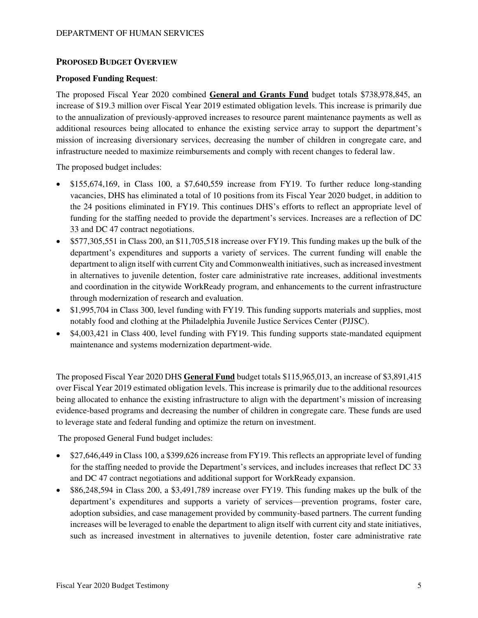## **PROPOSED BUDGET OVERVIEW**

#### **Proposed Funding Request**:

The proposed Fiscal Year 2020 combined **General and Grants Fund** budget totals \$738,978,845, an increase of \$19.3 million over Fiscal Year 2019 estimated obligation levels. This increase is primarily due to the annualization of previously-approved increases to resource parent maintenance payments as well as additional resources being allocated to enhance the existing service array to support the department's mission of increasing diversionary services, decreasing the number of children in congregate care, and infrastructure needed to maximize reimbursements and comply with recent changes to federal law.

The proposed budget includes:

- \$155,674,169, in Class 100, a \$7,640,559 increase from FY19. To further reduce long-standing vacancies, DHS has eliminated a total of 10 positions from its Fiscal Year 2020 budget, in addition to the 24 positions eliminated in FY19. This continues DHS's efforts to reflect an appropriate level of funding for the staffing needed to provide the department's services. Increases are a reflection of DC 33 and DC 47 contract negotiations.
- \$577,305,551 in Class 200, an \$11,705,518 increase over FY19. This funding makes up the bulk of the department's expenditures and supports a variety of services. The current funding will enable the department to align itself with current City and Commonwealth initiatives, such as increased investment in alternatives to juvenile detention, foster care administrative rate increases, additional investments and coordination in the citywide WorkReady program, and enhancements to the current infrastructure through modernization of research and evaluation.
- \$1,995,704 in Class 300, level funding with FY19. This funding supports materials and supplies, most notably food and clothing at the Philadelphia Juvenile Justice Services Center (PJJSC).
- \$4,003,421 in Class 400, level funding with FY19. This funding supports state-mandated equipment maintenance and systems modernization department-wide.

The proposed Fiscal Year 2020 DHS **General Fund** budget totals \$115,965,013, an increase of \$3,891,415 over Fiscal Year 2019 estimated obligation levels. This increase is primarily due to the additional resources being allocated to enhance the existing infrastructure to align with the department's mission of increasing evidence-based programs and decreasing the number of children in congregate care. These funds are used to leverage state and federal funding and optimize the return on investment.

The proposed General Fund budget includes:

- \$27,646,449 in Class 100, a \$399,626 increase from FY19. This reflects an appropriate level of funding for the staffing needed to provide the Department's services, and includes increases that reflect DC 33 and DC 47 contract negotiations and additional support for WorkReady expansion.
- \$86,248,594 in Class 200, a \$3,491,789 increase over FY19. This funding makes up the bulk of the department's expenditures and supports a variety of services—prevention programs, foster care, adoption subsidies, and case management provided by community-based partners. The current funding increases will be leveraged to enable the department to align itself with current city and state initiatives, such as increased investment in alternatives to juvenile detention, foster care administrative rate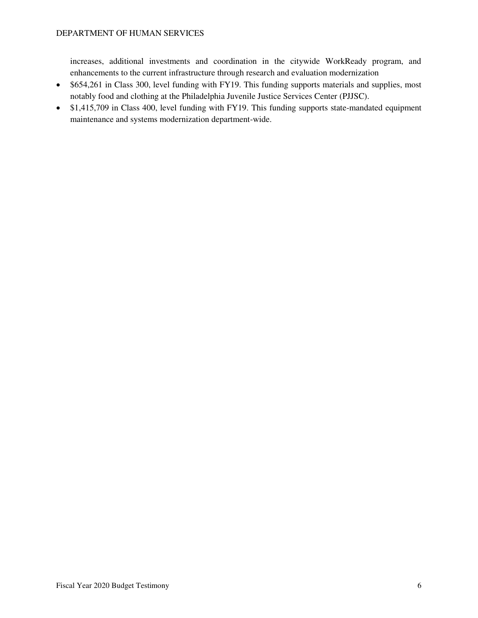increases, additional investments and coordination in the citywide WorkReady program, and enhancements to the current infrastructure through research and evaluation modernization

- \$654,261 in Class 300, level funding with FY19. This funding supports materials and supplies, most notably food and clothing at the Philadelphia Juvenile Justice Services Center (PJJSC).
- \$1,415,709 in Class 400, level funding with FY19. This funding supports state-mandated equipment maintenance and systems modernization department-wide.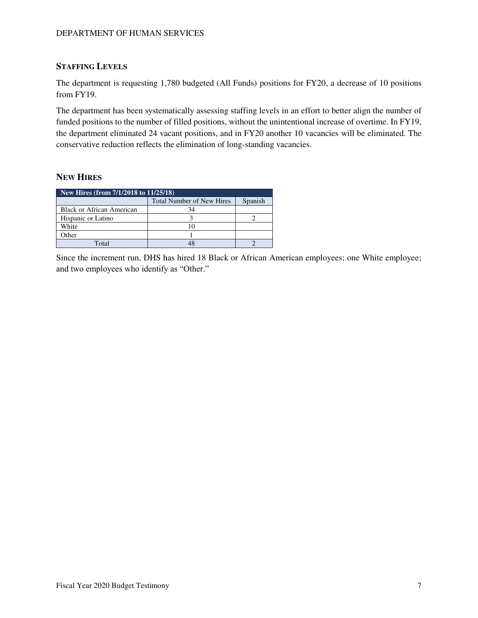## **STAFFING LEVELS**

The department is requesting 1,780 budgeted (All Funds) positions for FY20, a decrease of 10 positions from FY19.

The department has been systematically assessing staffing levels in an effort to better align the number of funded positions to the number of filled positions, without the unintentional increase of overtime. In FY19, the department eliminated 24 vacant positions, and in FY20 another 10 vacancies will be eliminated. The conservative reduction reflects the elimination of long-standing vacancies.

## **NEW HIRES**

| New Hires (from 7/1/2018 to 11/25/18) |                                  |         |  |  |
|---------------------------------------|----------------------------------|---------|--|--|
|                                       | <b>Total Number of New Hires</b> | Spanish |  |  |
| Black or African American             | 34                               |         |  |  |
| Hispanic or Latino                    |                                  |         |  |  |
| White                                 |                                  |         |  |  |
| Other                                 |                                  |         |  |  |
| Total                                 |                                  |         |  |  |

Since the increment run, DHS has hired 18 Black or African American employees; one White employee; and two employees who identify as "Other."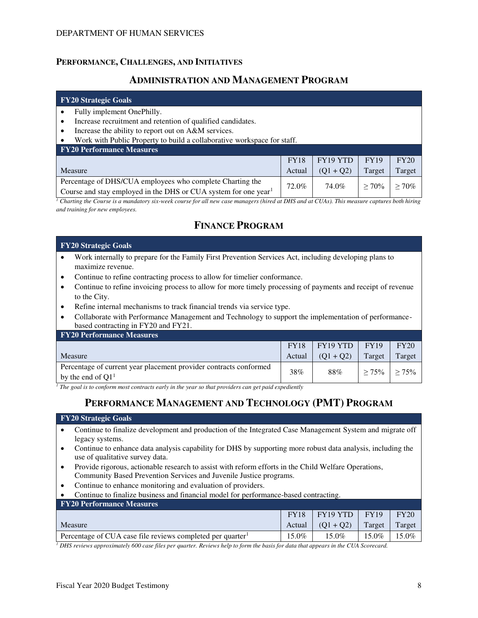## **PERFORMANCE, CHALLENGES, AND INITIATIVES**

## **ADMINISTRATION AND MANAGEMENT PROGRAM**

#### **FY20 Strategic Goals**

- Fully implement OnePhilly.
- Increase recruitment and retention of qualified candidates.
- Increase the ability to report out on A&M services.
- Work with Public Property to build a collaborative workspace for staff.

| <b>FY20 Performance Measures</b>                                            |             |             |             |         |
|-----------------------------------------------------------------------------|-------------|-------------|-------------|---------|
|                                                                             | <b>FY18</b> | $FY19$ YTD  | <b>FY19</b> | FY20    |
| <b>Measure</b>                                                              | Actual      | $(01 + 02)$ | Target      | Target  |
| Percentage of DHS/CUA employees who complete Charting the                   | 72.0%       | 74.0%       | $> 70\%$    | $>70\%$ |
| Course and stay employed in the DHS or CUA system for one year <sup>1</sup> |             |             |             |         |

*1 Charting the Course is a mandatory six-week course for all new case managers (hired at DHS and at CUAs). This measure captures both hiring and training for new employees.* 

# **FINANCE PROGRAM**

#### **FY20 Strategic Goals**

- Work internally to prepare for the Family First Prevention Services Act, including developing plans to maximize revenue.
- Continue to refine contracting process to allow for timelier conformance.
- Continue to refine invoicing process to allow for more timely processing of payments and receipt of revenue to the City.
- Refine internal mechanisms to track financial trends via service type.
- Collaborate with Performance Management and Technology to support the implementation of performancebased contracting in FY20 and FY21.

| <b>FY20 Performance Measures</b>                                                         |             |                 |          |          |
|------------------------------------------------------------------------------------------|-------------|-----------------|----------|----------|
|                                                                                          | <b>FY18</b> | $FY19 YTD$ FY19 |          | FY20     |
| Measure                                                                                  | Actual      | $(01 + 02)$     | Target   | Target   |
| Percentage of current year placement provider contracts conformed<br>by the end of $Q11$ | 38%         | 88%             | $> 75\%$ | $> 75\%$ |

<sup>1</sup> The goal is to conform most contracts early in the year so that providers can get paid expediently

# **PERFORMANCE MANAGEMENT AND TECHNOLOGY (PMT) PROGRAM**

#### **FY20 Strategic Goals**

- Continue to finalize development and production of the Integrated Case Management System and migrate off legacy systems.
- Continue to enhance data analysis capability for DHS by supporting more robust data analysis, including the use of qualitative survey data.
- Provide rigorous, actionable research to assist with reform efforts in the Child Welfare Operations, Community Based Prevention Services and Juvenile Justice programs.
- Continue to enhance monitoring and evaluation of providers.
- Continue to finalize business and financial model for performance-based contracting.

| <b>FY20 Performance Measures</b>                                       |             |             |             |        |
|------------------------------------------------------------------------|-------------|-------------|-------------|--------|
|                                                                        | <b>FY18</b> | FY19YTD     | <b>FY19</b> | FY20   |
| Measure                                                                | Actual V    | $(01 + 02)$ | Target      | Target |
| Percentage of CUA case file reviews completed per quarter <sup>1</sup> | $15.0\%$    | $15.0\%$    | $15.0\%$    | 15.0%  |
|                                                                        |             |             |             |        |

*1 DHS reviews approximately 600 case files per quarter. Reviews help to form the basis for data that appears in the CUA Scorecard.*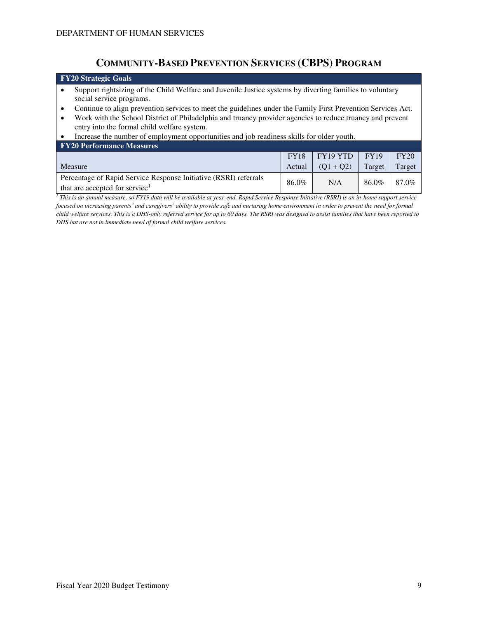# **COMMUNITY-BASED PREVENTION SERVICES (CBPS) PROGRAM**

## **FY20 Strategic Goals**  Support rightsizing of the Child Welfare and Juvenile Justice systems by diverting families to voluntary social service programs. • Continue to align prevention services to meet the guidelines under the Family First Prevention Services Act.

• Work with the School District of Philadelphia and truancy provider agencies to reduce truancy and prevent entry into the formal child welfare system.

#### • Increase the number of employment opportunities and job readiness skills for older youth.

| <b>FY20 Performance Measures</b>                                 |             |             |             |        |
|------------------------------------------------------------------|-------------|-------------|-------------|--------|
|                                                                  | <b>FY18</b> | $FY19$ YTD  | <b>FY19</b> | FY20   |
| Measure                                                          | Actual      | $(O1 + O2)$ | Target      | Target |
| Percentage of Rapid Service Response Initiative (RSRI) referrals | 86.0%       | N/A         | 86.0%       | 87.0%  |
| that are accepted for service <sup>1</sup>                       |             |             |             |        |

*1 This is an annual measure, so FY19 data will be available at year-end. Rapid Service Response Initiative (RSRI) is an in-home support service focused on increasing parents' and caregivers' ability to provide safe and nurturing home environment in order to prevent the need for formal child welfare services. This is a DHS-only referred service for up to 60 days. The RSRI was designed to assist families that have been reported to DHS but are not in immediate need of formal child welfare services.*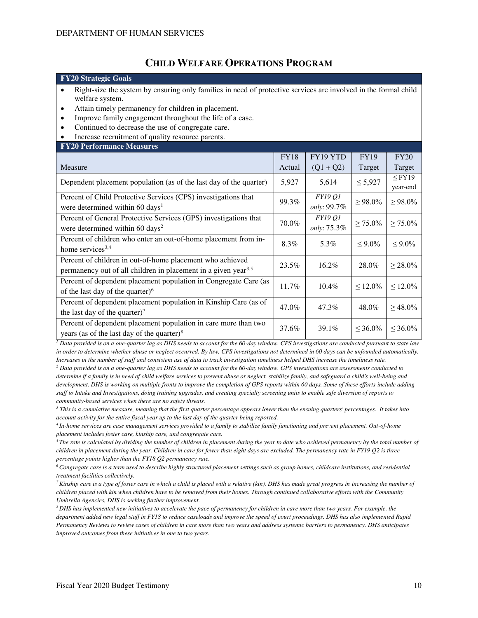## **CHILD WELFARE OPERATIONS PROGRAM**

#### **FY20 Strategic Goals**

- Right-size the system by ensuring only families in need of protective services are involved in the formal child welfare system.
- Attain timely permanency for children in placement.
- Improve family engagement throughout the life of a case.
- Continued to decrease the use of congregate care.
- Increase recruitment of quality resource parents.
- **FY20 Performance Measures**

| <b>THE TELEVISION INTO A REPORT OF</b>                                                                                                  |             |                               |               |                         |
|-----------------------------------------------------------------------------------------------------------------------------------------|-------------|-------------------------------|---------------|-------------------------|
|                                                                                                                                         | <b>FY18</b> | FY19 YTD                      | <b>FY19</b>   | FY20                    |
| Measure                                                                                                                                 | Actual      | $(Q1 + Q2)$                   | Target        | Target                  |
| Dependent placement population (as of the last day of the quarter)                                                                      | 5,927       | 5,614                         | $\leq 5,927$  | $\leq$ FY19<br>year-end |
| Percent of Child Protective Services (CPS) investigations that<br>were determined within 60 days <sup>1</sup>                           | 99.3%       | <b>FY19 O1</b><br>only: 99.7% | $\geq 98.0\%$ | $\geq 98.0\%$           |
| Percent of General Protective Services (GPS) investigations that<br>were determined within 60 days <sup>2</sup>                         | 70.0%       | <i>FY19 01</i><br>only: 75.3% | $\geq 75.0\%$ | $\geq 75.0\%$           |
| Percent of children who enter an out-of-home placement from in-<br>home services $3,4$                                                  | 8.3%        | 5.3%                          | $< 9.0\%$     | $\leq 9.0\%$            |
| Percent of children in out-of-home placement who achieved<br>permanency out of all children in placement in a given year <sup>3,5</sup> | 23.5%       | $16.2\%$                      | 28.0%         | $\geq 28.0\%$           |
| Percent of dependent placement population in Congregate Care (as<br>of the last day of the quarter) $6$                                 | 11.7%       | $10.4\%$                      | $\leq 12.0\%$ | $\leq 12.0\%$           |
| Percent of dependent placement population in Kinship Care (as of<br>the last day of the quarter) <sup>7</sup>                           | 47.0%       | 47.3%                         | 48.0%         | $\geq 48.0\%$           |
| Percent of dependent placement population in care more than two<br>vears (as of the last day of the quarter) $\delta$                   | 37.6%       | 39.1%                         | $< 36.0\%$    | $< 36.0\%$              |

years (as of the last day of the quarter)<sup>8</sup><br><sup>1</sup> Data provided is on a one-quarter lag as DHS needs to account for the 60-day window. CPS investigations are conducted pursuant to state law *in order to determine whether abuse or neglect occurred. By law, CPS investigations not determined in 60 days can be unfounded automatically. Increases in the number of staff and consistent use of data to track investigation timeliness helped DHS increase the timeliness rate.* 

*2 Data provided is on a one-quarter lag as DHS needs to account for the 60-day window. GPS investigations are assessments conducted to determine if a family is in need of child welfare services to prevent abuse or neglect, stabilize family, and safeguard a child's well-being and development. DHS is working on multiple fronts to improve the completion of GPS reports within 60 days. Some of these efforts include adding staff to Intake and Investigations, doing training upgrades, and creating specialty screening units to enable safe diversion of reports to community-based services when there are no safety threats.*

*3 This is a cumulative measure, meaning that the first quarter percentage appears lower than the ensuing quarters' percentages. It takes into account activity for the entire fiscal year up to the last day of the quarter being reported.* 

*<sup>4</sup>In-home services are case management services provided to a family to stabilize family functioning and prevent placement. Out-of-home placement includes foster care, kinship care, and congregate care.* 

<sup>5</sup>*The rate is calculated by dividing the number of children in placement during the year to date who achieved permanency by the total number of children in placement during the year. Children in care for fewer than eight days are excluded. The permanency rate in FY19 Q2 is three percentage points higher than the FY18 Q2 permanency rate.* 

*<sup>6</sup>Congregate care is a term used to describe highly structured placement settings such as group homes, childcare institutions, and residential treatment facilities collectively.* 

<sup>7</sup>*Kinship care is a type of foster care in which a child is placed with a relative (kin). DHS has made great progress in increasing the number of children placed with kin when children have to be removed from their homes. Through continued collaborative efforts with the Community Umbrella Agencies, DHS is seeking further improvement.* 

*<sup>8</sup>DHS has implemented new initiatives to accelerate the pace of permanency for children in care more than two years. For example, the department added new legal staff in FY18 to reduce caseloads and improve the speed of court proceedings. DHS has also implemented Rapid Permanency Reviews to review cases of children in care more than two years and address systemic barriers to permanency. DHS anticipates improved outcomes from these initiatives in one to two years.*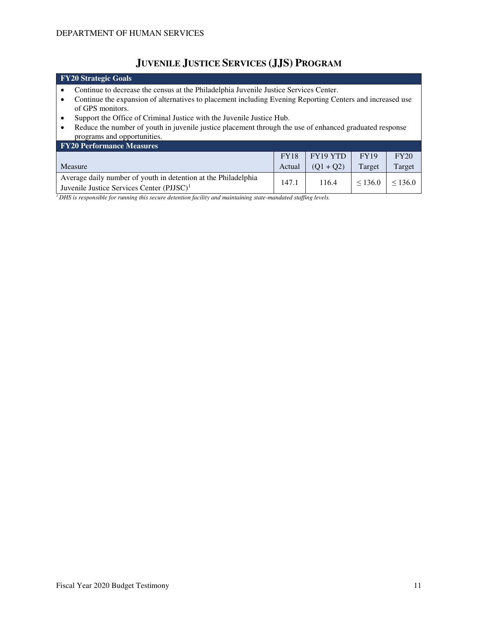# **JUVENILE JUSTICE SERVICES (JJS) PROGRAM**

| FY20 Strategic Goals                                                                                      |             |             |             |         |  |  |  |
|-----------------------------------------------------------------------------------------------------------|-------------|-------------|-------------|---------|--|--|--|
| Continue to decrease the census at the Philadelphia Juvenile Justice Services Center.                     |             |             |             |         |  |  |  |
| Continue the expansion of alternatives to placement including Evening Reporting Centers and increased use |             |             |             |         |  |  |  |
| of GPS monitors.                                                                                          |             |             |             |         |  |  |  |
| Support the Office of Criminal Justice with the Juvenile Justice Hub.                                     |             |             |             |         |  |  |  |
| Reduce the number of youth in juvenile justice placement through the use of enhanced graduated response   |             |             |             |         |  |  |  |
| programs and opportunities.                                                                               |             |             |             |         |  |  |  |
| <b>FY20 Performance Measures</b>                                                                          |             |             |             |         |  |  |  |
|                                                                                                           | <b>FY18</b> | FY19 YTD    | <b>FY19</b> | FY20    |  |  |  |
| Measure                                                                                                   | Actual      | $(Q1 + Q2)$ | Target      | Target  |  |  |  |
| Average daily number of youth in detention at the Philadelphia                                            | 147.1       | 116.4       | < 136.0     | < 136.0 |  |  |  |
| Juvenile Justice Services Center (PJJSC) <sup>1</sup>                                                     |             |             |             |         |  |  |  |

*1 DHS is responsible for running this secure detention facility and maintaining state-mandated staffing levels.*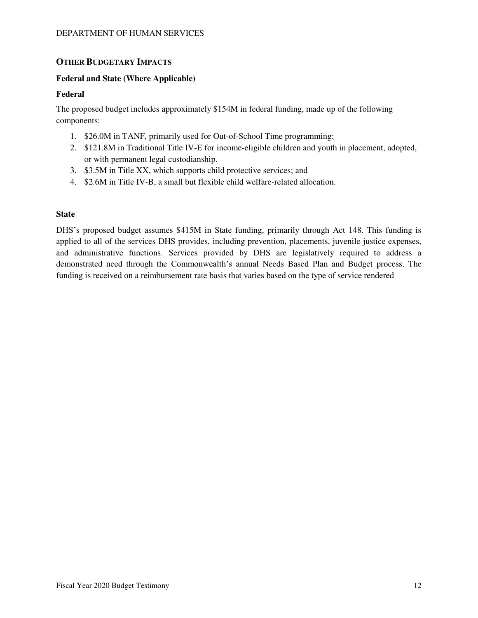## **OTHER BUDGETARY IMPACTS**

#### **Federal and State (Where Applicable)**

#### **Federal**

The proposed budget includes approximately \$154M in federal funding, made up of the following components:

- 1. \$26.0M in TANF, primarily used for Out-of-School Time programming;
- 2. \$121.8M in Traditional Title IV-E for income-eligible children and youth in placement, adopted, or with permanent legal custodianship.
- 3. \$3.5M in Title XX, which supports child protective services; and
- 4. \$2.6M in Title IV-B, a small but flexible child welfare-related allocation.

#### **State**

DHS's proposed budget assumes \$415M in State funding, primarily through Act 148. This funding is applied to all of the services DHS provides, including prevention, placements, juvenile justice expenses, and administrative functions. Services provided by DHS are legislatively required to address a demonstrated need through the Commonwealth's annual Needs Based Plan and Budget process. The funding is received on a reimbursement rate basis that varies based on the type of service rendered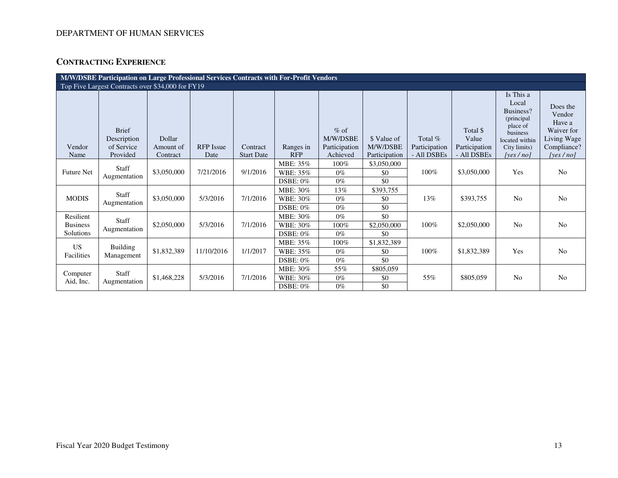# **CONTRACTING EXPERIENCE**

| M/W/DSBE Participation on Large Professional Services Contracts with For-Profit Vendors |                                                       |                                 |                          |                               |                                         |                                                 |                                          |                                         |                                                   |                                                                                                                          |                                                                                          |
|-----------------------------------------------------------------------------------------|-------------------------------------------------------|---------------------------------|--------------------------|-------------------------------|-----------------------------------------|-------------------------------------------------|------------------------------------------|-----------------------------------------|---------------------------------------------------|--------------------------------------------------------------------------------------------------------------------------|------------------------------------------------------------------------------------------|
| Top Five Largest Contracts over \$34,000 for FY19                                       |                                                       |                                 |                          |                               |                                         |                                                 |                                          |                                         |                                                   |                                                                                                                          |                                                                                          |
| Vendor<br>Name                                                                          | <b>Brief</b><br>Description<br>of Service<br>Provided | Dollar<br>Amount of<br>Contract | <b>RFP</b> Issue<br>Date | Contract<br><b>Start Date</b> | Ranges in<br><b>RFP</b>                 | $%$ of<br>M/W/DSBE<br>Participation<br>Achieved | \$ Value of<br>M/W/DSBE<br>Participation | Total %<br>Participation<br>- All DSBEs | Total \$<br>Value<br>Participation<br>- All DSBEs | Is This a<br>Local<br>Business?<br>(principal)<br>place of<br>business<br>located within<br>City limits)<br>[yes $/no$ ] | Does the<br>Vendor<br>Have a<br>Waiver for<br>Living Wage<br>Compliance?<br>[yes $/$ no] |
| <b>Future Net</b>                                                                       | Staff<br>Augmentation                                 | \$3,050,000                     | 7/21/2016                | 9/1/2016                      | MBE: 35%<br>WBE: 35%<br><b>DSBE: 0%</b> | 100%<br>$0\%$<br>$0\%$                          | \$3,050,000<br>\$0<br>\$0                | 100%                                    | \$3,050,000                                       | Yes                                                                                                                      | N <sub>0</sub>                                                                           |
| <b>MODIS</b>                                                                            | Staff<br>Augmentation                                 | \$3,050,000                     | 5/3/2016                 | 7/1/2016                      | MBE: 30%<br>WBE: 30%<br><b>DSBE: 0%</b> | 13%<br>$0\%$<br>$0\%$                           | \$393,755<br>\$0<br>\$0                  | 13%                                     | \$393,755                                         | N <sub>0</sub>                                                                                                           | N <sub>0</sub>                                                                           |
| Resilient<br><b>Business</b><br>Solutions                                               | <b>Staff</b><br>Augmentation                          | \$2,050,000                     | 5/3/2016                 | 7/1/2016                      | MBE: 30%<br>WBE: 30%<br><b>DSBE: 0%</b> | $0\%$<br>100%<br>$0\%$                          | \$0<br>\$2,050,000<br>\$0                | 100%                                    | \$2,050,000                                       | N <sub>0</sub>                                                                                                           | N <sub>0</sub>                                                                           |
| US.<br>Facilities                                                                       | Building<br>Management                                | \$1,832,389                     | 11/10/2016               | 1/1/2017                      | MBE: 35%<br>WBE: 35%<br>$DSBE: 0\%$     | 100%<br>$0\%$<br>$0\%$                          | \$1,832,389<br>\$0<br>\$0                | 100%                                    | \$1,832,389                                       | Yes                                                                                                                      | N <sub>0</sub>                                                                           |
| Computer<br>Aid, Inc.                                                                   | Staff<br>Augmentation                                 | \$1,468,228                     | 5/3/2016                 | 7/1/2016                      | MBE: 30%<br>WBE: 30%<br><b>DSBE: 0%</b> | 55%<br>$0\%$<br>$0\%$                           | \$805,059<br>\$0<br>\$0                  | 55%                                     | \$805,059                                         | N <sub>0</sub>                                                                                                           | N <sub>0</sub>                                                                           |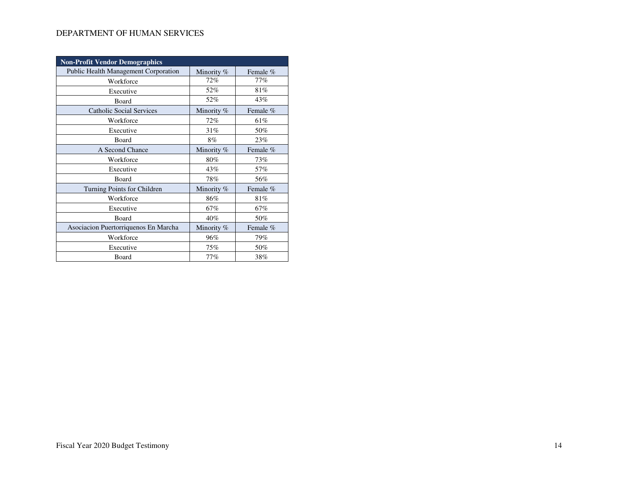| <b>Non-Profit Vendor Demographics</b> |            |          |  |
|---------------------------------------|------------|----------|--|
| Public Health Management Corporation  | Minority % | Female % |  |
| Workforce                             | 72%        | 77%      |  |
| Executive                             | 52%        | 81%      |  |
| Board                                 | 52%        | 43%      |  |
| <b>Catholic Social Services</b>       | Minority % | Female % |  |
| Workforce                             | 72%        | 61%      |  |
| Executive                             | 31%        | 50%      |  |
| Board                                 | $8\%$      | 23%      |  |
| A Second Chance                       | Minority % | Female % |  |
| Workforce                             | 80%        | 73%      |  |
| Executive                             | 43%        | 57%      |  |
| Board                                 | 78%        | 56%      |  |
| Turning Points for Children           | Minority % | Female % |  |
| Workforce                             | 86%        | 81%      |  |
| Executive                             | 67%        | 67%      |  |
| Board                                 | 40%        | 50%      |  |
| Asociacion Puertorriquenos En Marcha  | Minority % | Female % |  |
| Workforce                             | 96%        | 79%      |  |
| Executive                             | 75%        | 50%      |  |
| Board                                 | 77%        | 38%      |  |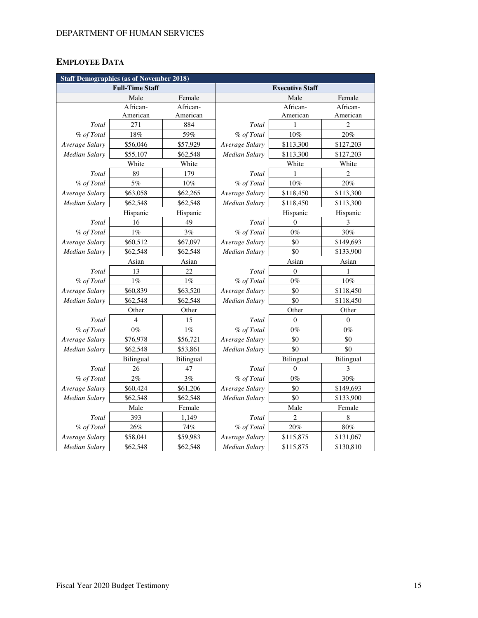# **EMPLOYEE DATA**

| <b>Staff Demographics (as of November 2018)</b> |                        |                  |                           |                |                |  |  |
|-------------------------------------------------|------------------------|------------------|---------------------------|----------------|----------------|--|--|
|                                                 | <b>Full-Time Staff</b> |                  | <b>Executive Staff</b>    |                |                |  |  |
|                                                 | Male                   | Female           | Male                      |                | Female         |  |  |
|                                                 | African-               | African-         |                           | African-       | African-       |  |  |
|                                                 | American               | American         |                           | American       | American       |  |  |
| Total                                           | 271                    | 884              | Total                     | 1              | 2              |  |  |
| % of Total                                      | 18%                    | 59%              | % of Total                | 10%            | 20%            |  |  |
| Average Salary                                  | \$56,046               | \$57,929         | Average Salary            | \$113,300      | \$127,203      |  |  |
| <b>Median Salary</b>                            | \$55,107               | \$62,548         | Median Salary             | \$113,300      | \$127,203      |  |  |
|                                                 | White                  | White            |                           | White          | White          |  |  |
| Total                                           | 89                     | 179              | <b>Total</b>              | 1              | $\overline{c}$ |  |  |
| % of Total                                      | 5%                     | 10%              | % of Total                | $10\%$         | 20%            |  |  |
| Average Salary                                  | \$63,058               | \$62,265         | Average Salary            | \$118,450      | \$113,300      |  |  |
| <b>Median Salary</b>                            | \$62,548               | \$62,548         | Median Salary             | \$118,450      | \$113,300      |  |  |
|                                                 | Hispanic               | Hispanic         | Hispanic                  |                | Hispanic       |  |  |
| Total                                           | 16                     | 49               | Total                     | $\theta$       | 3              |  |  |
| % of Total                                      | $1\%$                  | 3%               | % of Total                | $0\%$          | 30%            |  |  |
| Average Salary                                  | \$60,512               | \$67,097         | Average Salary            | \$0            | \$149,693      |  |  |
| <b>Median Salary</b>                            | \$62,548               | \$62,548         | <b>Median Salary</b>      | \$0            | \$133,900      |  |  |
|                                                 | Asian                  | Asian            | Asian                     |                | Asian          |  |  |
| Total                                           | 13                     | 22               | Total<br>$\boldsymbol{0}$ |                | 1              |  |  |
| % of Total                                      | $1\%$                  | $1\%$            | % of Total                | $0\%$          | 10%            |  |  |
| Average Salary                                  | \$60,839               | \$63,520         | Average Salary<br>\$0     |                | \$118,450      |  |  |
| Median Salary                                   | \$62,548               | \$62,548         | \$0<br>Median Salary      |                | \$118,450      |  |  |
|                                                 | Other                  | Other            | Other<br>Other            |                |                |  |  |
| Total                                           | 4                      | 15               | Total                     | $\Omega$       | $\mathbf{0}$   |  |  |
| % of Total                                      | $0\%$                  | $1\%$            | % of Total                | $0\%$          | $0\%$          |  |  |
| Average Salary                                  | \$76,978               | \$56,721         | Average Salary<br>\$0     |                | \$0            |  |  |
| <b>Median Salary</b>                            | \$62,548               | \$53,861         | <b>Median Salary</b>      | \$0            | \$0            |  |  |
|                                                 | Bilingual              | <b>Bilingual</b> | Bilingual                 |                | Bilingual      |  |  |
| Total                                           | 26                     | 47               | Total                     | $\mathbf{0}$   | 3              |  |  |
| % of Total                                      | 2%                     | 3%               | % of Total<br>$0\%$       |                | 30%            |  |  |
| Average Salary                                  | \$60,424               | \$61,206         | Average Salary<br>\$0     |                | \$149,693      |  |  |
| <b>Median Salary</b>                            | \$62,548               | \$62,548         | \$0<br>Median Salary      |                | \$133,900      |  |  |
|                                                 | Male                   | Female           | Male                      |                | Female         |  |  |
| Total                                           | 393                    | 1,149            | Total                     | $\overline{c}$ | 8              |  |  |
| % of Total                                      | 26%                    | 74%              | % of Total                | $20\%$         | 80%            |  |  |
| Average Salary                                  | \$58,041               | \$59,983         | Average Salary            | \$115,875      | \$131,067      |  |  |
| <b>Median Salary</b>                            | \$62,548               | \$62,548         | <b>Median Salary</b>      | \$115,875      | \$130,810      |  |  |